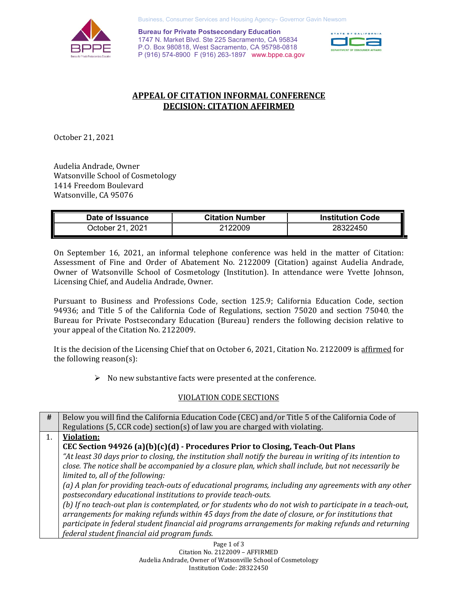

Business, Consumer Services and Housing Agency– Governor Gavin Newsom

 P (916) 574-8900 F (916) 263-1897 <www.bppe.ca.gov> **EXECUTE:**<br>Bureau for Private Postsecondary Education<br>P.O. Box 980818, West Sacramento, CA 95798-0818<br>P.O. Box 980818, West Sacramento, CA 95798-0818 **Bureau for Private Postsecondary Education**  1747 N. Market Blvd. Ste 225 Sacramento, CA 95834



### **DECISION: CITATION AFFIRMED APPEAL OF CITATION INFORMAL CONFERENCE**

October 21, 2021

 Audelia Andrade, Owner Watsonville School of Cosmetology Watsonville, CA 95076 1414 Freedom Boulevard

| Date of Issuance | <b>Citation Number</b> | <b>Institution Code</b> |
|------------------|------------------------|-------------------------|
| October 21, 2021 | 2122009                | 28322450                |

 On September 16, 2021, an informal telephone conference was held in the matter of Citation: Assessment of Fine and Order of Abatement No. 2122009 (Citation) against Audelia Andrade, Owner of Watsonville School of Cosmetology (Institution). In attendance were Yvette Johnson, Licensing Chief, and Audelia Andrade, Owner.

 Bureau for Private Postsecondary Education (Bureau) renders the following decision relative to your appeal of the Citation No. 2122009. Pursuant to Business and Professions Code, section 125.9; California Education Code, section 94936; and Title 5 of the California Code of Regulations, section 75020 and section 75040, the

It is the decision of the Licensing Chief that on October 6, 2021, Citation No. 2122009 is <u>affirmed</u> for **the content of the content of the content** or the following reason(s):

 $\triangleright$  No new substantive facts were presented at the conference.

### VIOLATION CODE SECTIONS

| #  | Below you will find the California Education Code (CEC) and/or Title 5 of the California Code of                                                                                                              |
|----|---------------------------------------------------------------------------------------------------------------------------------------------------------------------------------------------------------------|
|    | Regulations (5, CCR code) section(s) of law you are charged with violating.                                                                                                                                   |
| 1. | <b>Violation:</b>                                                                                                                                                                                             |
|    | CEC Section 94926 (a)(b)(c)(d) - Procedures Prior to Closing, Teach-Out Plans                                                                                                                                 |
|    | "At least 30 days prior to closing, the institution shall notify the bureau in writing of its intention to                                                                                                    |
|    | close. The notice shall be accompanied by a closure plan, which shall include, but not necessarily be                                                                                                         |
|    | limited to, all of the following:                                                                                                                                                                             |
|    | (a) A plan for providing teach-outs of educational programs, including any agreements with any other<br>postsecondary educational institutions to provide teach-outs.                                         |
|    | (b) If no teach-out plan is contemplated, or for students who do not wish to participate in a teach-out,<br>arrangements for making refunds within 45 days from the date of closure, or for institutions that |
|    | participate in federal student financial aid programs arrangements for making refunds and returning                                                                                                           |
|    | federal student financial aid program funds.                                                                                                                                                                  |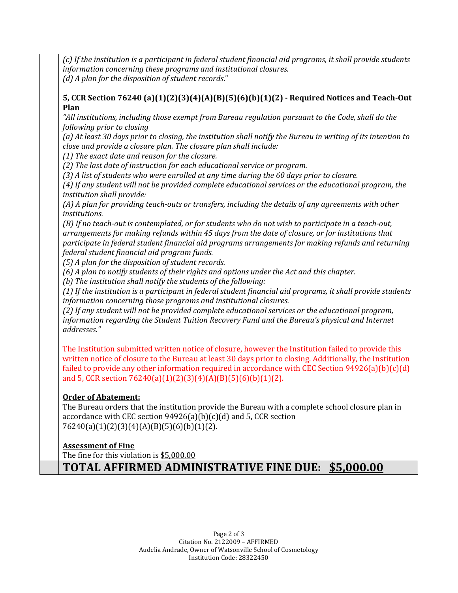(c) If the institution is a participant in federal student financial aid programs, it shall provide students *information concerning these programs and institutional closures. (d) A plan for the disposition of student records*." 

**5, CCR Section 76240 (a)(1)(2)(3)(4)(A)(B)(5)(6)(b)(1)(2) - Required Notices and Teach-Out Plan** 

"All institutions, including those exempt from Bureau regulation pursuant to the Code, shall do the *following prior to closing* 

(a) At least 30 days prior to closing, the institution shall notify the Bureau in writing of its intention to close and provide a closure plan. The closure plan shall include:

*(1) The exact date and reason for the closure.* 

(2) The last date of instruction for each educational service or program.

(3) A list of students who were enrolled at any time during the 60 days prior to closure.

(4) If any student will not be provided complete educational services or the educational program, the *institution shall provide:* 

(A) A plan for providing teach-outs or transfers, including the details of any agreements with other *institutions.* 

(B) If no teach-out is contemplated, or for students who do not wish to participate in a teach-out, arrangements for making refunds within 45 days from the date of closure, or for institutions that participate in federal student financial aid programs arrangements for making refunds and returning *federal student financial aid program funds.* 

*(5) A plan for the disposition of student records.* 

(6) A plan to notify students of their rights and options under the Act and this chapter.

*(b) The institution shall notify the students of the following:* 

(1) If the institution is a participant in federal student financial aid programs, it shall provide students information concerning those programs and institutional closures.

(2) If any student will not be provided complete educational services or the educational program, information regarding the Student Tuition Recovery Fund and the Bureau's physical and Internet *addresses."* 

The Institution submitted written notice of closure, however the Institution failed to provide this written notice of closure to the Bureau at least 30 days prior to closing. Additionally, the Institution failed to provide any other information required in accordance with CEC Section 94926(a)(b)(c)(d) and 5, CCR section 76240(a)(1)(2)(3)(4)(A)(B)(5)(6)(b)(1)(2).

### **Order of Abatement:**

The Bureau orders that the institution provide the Bureau with a complete school closure plan in accordance with CEC section 94926(a)(b)(c)(d) and 5, CCR section 76240(a)(1)(2)(3)(4)(A)(B)(5)(6)(b)(1)(2).

# **Assessment of Fine**

The fine for this violation is <u>[\\$5,000.00](https://5,000.00)</u>

**TOTAL AFFIRMED ADMINISTRATIVE FINE DUE: \$5,000.00**